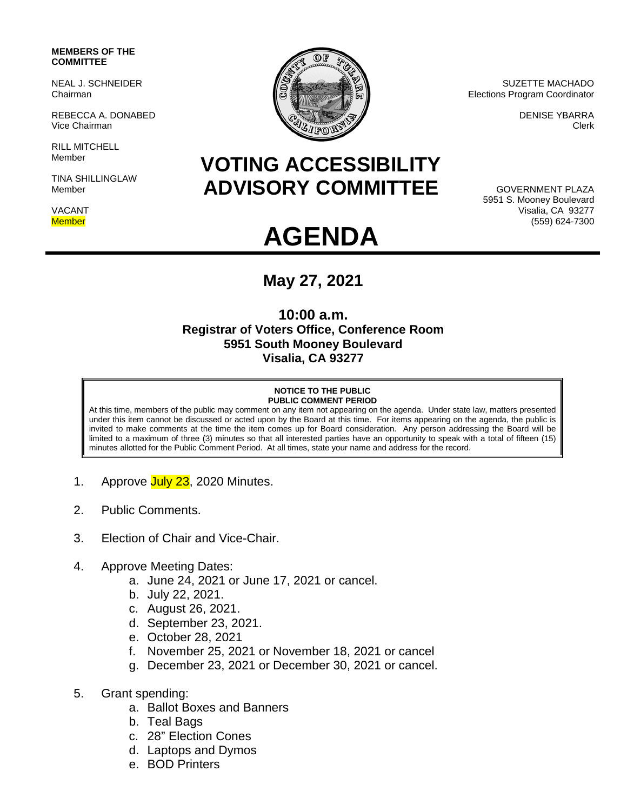#### **MEMBERS OF THE COMMITTEE**

NEAL J. SCHNEIDER Chairman

REBECCA A. DONABED Vice Chairman

RILL MITCHELL Member

TINA SHILLINGLAW Member

VACANT **Member** 



SUZETTE MACHADO Elections Program Coordinator

> DENISE YBARRA Clerk

# **VOTING ACCESSIBILITY ADVISORY COMMITTEE**

GOVERNMENT PLAZA 5951 S. Mooney Boulevard Visalia, CA 93277 (559) 624-7300

# **AGENDA**

## **May 27, 2021**

### **10:00 a.m. Registrar of Voters Office, Conference Room 5951 South Mooney Boulevard Visalia, CA 93277**

#### **NOTICE TO THE PUBLIC PUBLIC COMMENT PERIOD**

At this time, members of the public may comment on any item not appearing on the agenda. Under state law, matters presented under this item cannot be discussed or acted upon by the Board at this time. For items appearing on the agenda, the public is invited to make comments at the time the item comes up for Board consideration. Any person addressing the Board will be limited to a maximum of three (3) minutes so that all interested parties have an opportunity to speak with a total of fifteen (15) minutes allotted for the Public Comment Period. At all times, state your name and address for the record.

- 1. Approve July 23, 2020 Minutes.
- 2. Public Comments.
- 3. Election of Chair and Vice-Chair.
- 4. Approve Meeting Dates:
	- a. June 24, 2021 or June 17, 2021 or cancel.
	- b. July 22, 2021.
	- c. August 26, 2021.
	- d. September 23, 2021.
	- e. October 28, 2021
	- f. November 25, 2021 or November 18, 2021 or cancel
	- g. December 23, 2021 or December 30, 2021 or cancel.
- 5. Grant spending:
	- a. Ballot Boxes and Banners
	- b. Teal Bags
	- c. 28" Election Cones
	- d. Laptops and Dymos
	- e. BOD Printers